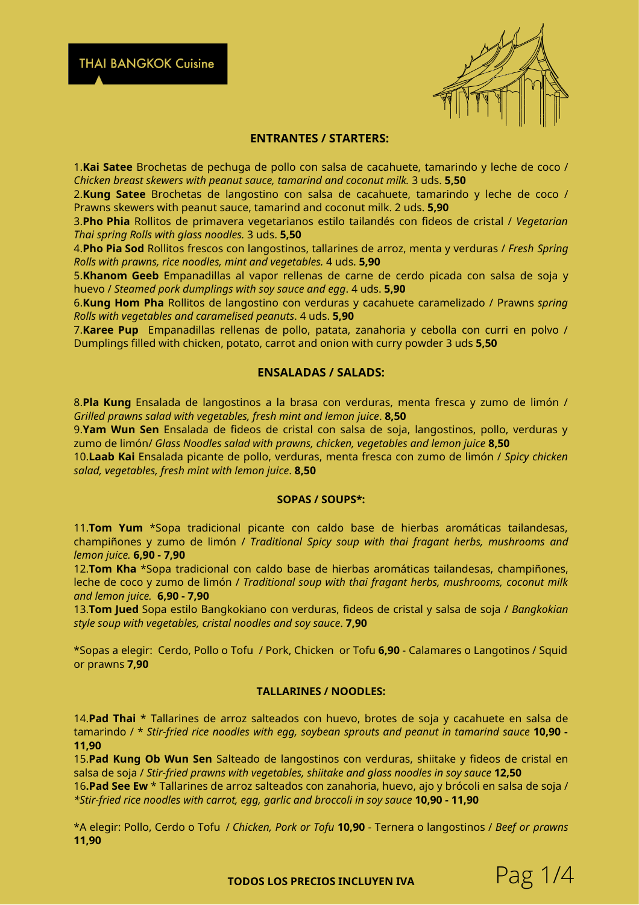#### **ENTRANTES / STARTERS:**

1.**Kai Satee** Brochetas de pechuga de pollo con salsa de cacahuete, tamarindo y leche de coco / *Chicken breast skewers with peanut sauce, tamarind and coconut milk.* 3 uds. **5,50**

2.**Kung Satee** Brochetas de langostino con salsa de cacahuete, tamarindo y leche de coco / Prawns skewers with peanut sauce, tamarind and coconut milk. 2 uds. **5,90**

3.**Pho Phia** Rollitos de primavera vegetarianos estilo tailandés con fideos de cristal / *Vegetarian Thai spring Rolls with glass noodles.* 3 uds. **5,50**

4.**Pho Pia Sod** Rollitos frescos con langostinos, tallarines de arroz, menta y verduras / *Fresh Spring Rolls with prawns, rice noodles, mint and vegetables.* 4 uds. **5,90**

5.**Khanom Geeb** Empanadillas al vapor rellenas de carne de cerdo picada con salsa de soja y huevo / *Steamed pork dumplings with soy sauce and egg*. 4 uds. **5,90**

6.**Kung Hom Pha** Rollitos de langostino con verduras y cacahuete caramelizado / Prawns *spring Rolls with vegetables and caramelised peanuts*. 4 uds. **5,90**

7.**Karee Pup** Empanadillas rellenas de pollo, patata, zanahoria y cebolla con curri en polvo / Dumplings filled with chicken, potato, carrot and onion with curry powder 3 uds **5,50**

## **ENSALADAS / SALADS:**

8.**Pla Kung** Ensalada de langostinos a la brasa con verduras, menta fresca y zumo de limón / *Grilled prawns salad with vegetables, fresh mint and lemon juice*. **8,50**

9.**Yam Wun Sen** Ensalada de fideos de cristal con salsa de soja, langostinos, pollo, verduras y zumo de limón/ *Glass Noodles salad with prawns, chicken, vegetables and lemon juice* **8,50**

10.**Laab Kai** Ensalada picante de pollo, verduras, menta fresca con zumo de limón / *Spicy chicken salad, vegetables, fresh mint with lemon juice*. **8,50**

#### **SOPAS / SOUPS\*:**

11.**Tom Yum** \*Sopa tradicional picante con caldo base de hierbas aromáticas tailandesas, champiñones y zumo de limón / *Traditional Spicy soup with thai fragant herbs, mushrooms and lemon juice.* **6,90 - 7,90**

12.**Tom Kha** \*Sopa tradicional con caldo base de hierbas aromáticas tailandesas, champiñones, leche de coco y zumo de limón / *Traditional soup with thai fragant herbs, mushrooms, coconut milk and lemon juice.* **6,90 - 7,90**

13.**Tom Jued** Sopa estilo Bangkokiano con verduras, fideos de cristal y salsa de soja / *Bangkokian style soup with vegetables, cristal noodles and soy sauce*. **7,90**

\*Sopas a elegir: Cerdo, Pollo o Tofu / Pork, Chicken or Tofu **6,90** - Calamares o Langotinos / Squid or prawns **7,90**

#### **TALLARINES / NOODLES:**

14.**Pad Thai** \* Tallarines de arroz salteados con huevo, brotes de soja y cacahuete en salsa de tamarindo / \* *Stir-fried rice noodles with egg, soybean sprouts and peanut in tamarind sauce* **10,90 - 11,90**

15.**Pad Kung Ob Wun Sen** Salteado de langostinos con verduras, shiitake y fideos de cristal en salsa de soja / *Stir-fried prawns with vegetables, shiitake and glass noodles in soy sauce* **12,50**

16**.Pad See Ew** \* Tallarines de arroz salteados con zanahoria, huevo, ajo y brócoli en salsa de soja / *\*Stir-fried rice noodles with carrot, egg, garlic and broccoli in soy sauce* **10,90 - 11,90**

\*A elegir: Pollo, Cerdo o Tofu / *Chicken, Pork or Tofu* **10,90** - Ternera o langostinos / *Beef or prawns* **11,90**

**TODOS LOS PRECIOS INCLUYEN IVA** Pag 1/4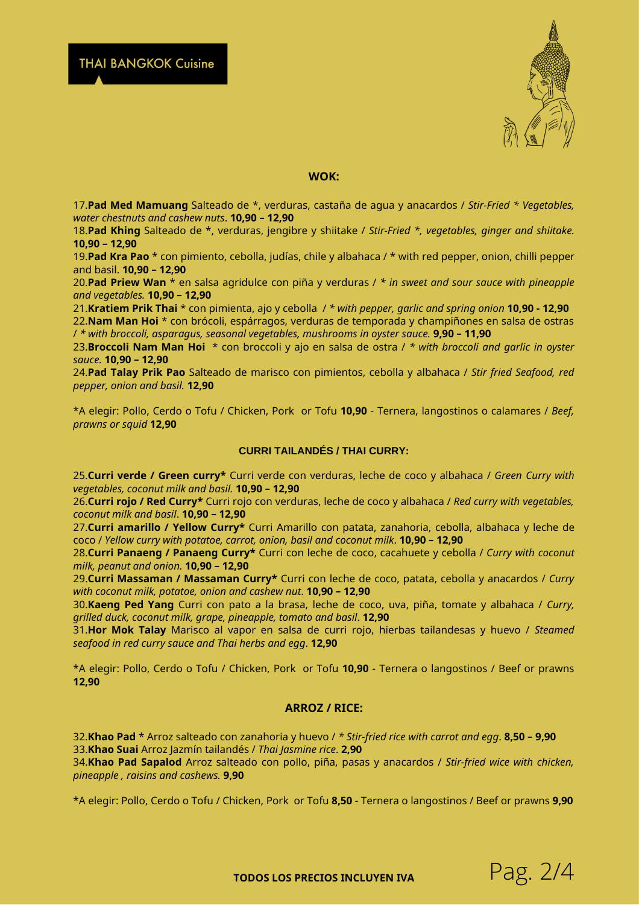

#### **WOK:**

17.**Pad Med Mamuang** Salteado de \*, verduras, castaña de agua y anacardos / *Stir-Fried \* Vegetables, water chestnuts and cashew nuts*. **10,90 – 12,90**

18.**Pad Khing** Salteado de \*, verduras, jengibre y shiitake / *Stir-Fried \*, vegetables, ginger and shiitake.* **10,90 – 12,90**

19.**Pad Kra Pao** \* con pimiento, cebolla, judías, chile y albahaca / \* with red pepper, onion, chilli pepper and basil. **10,90 – 12,90**

20.**Pad Priew Wan** \* en salsa agridulce con piña y verduras / *\* in sweet and sour sauce with pineapple and vegetables.* **10,90 – 12,90**

21.**Kratiem Prik Thai** \* con pimienta, ajo y cebolla / *\* with pepper, garlic and spring onion* **10,90 - 12,90**

22.**Nam Man Hoi** \* con brócoli, espárragos, verduras de temporada y champiñones en salsa de ostras / *\* with broccoli, asparagus, seasonal vegetables, mushrooms in oyster sauce.* **9,90 – 11,90**

23.**Broccoli Nam Man Hoi** \* con broccoli y ajo en salsa de ostra / *\* with broccoli and garlic in oyster sauce.* **10,90 – 12,90**

24.**Pad Talay Prik Pao** Salteado de marisco con pimientos, cebolla y albahaca / *Stir fried Seafood, red pepper, onion and basil.* **12,90**

\*A elegir: Pollo, Cerdo o Tofu / Chicken, Pork or Tofu **10,90** - Ternera, langostinos o calamares / *Beef, prawns or squid* **12,90**

#### **CURRI TAILANDÉS / THAI CURRY:**

25.**Curri verde / Green curry\*** Curri verde con verduras, leche de coco y albahaca / *Green Curry with vegetables, coconut milk and basil.* **10,90 – 12,90**

26.**Curri rojo / Red Curry\*** Curri rojo con verduras, leche de coco y albahaca / *Red curry with vegetables, coconut milk and basil*. **10,90 – 12,90**

27.**Curri amarillo / Yellow Curry\*** Curri Amarillo con patata, zanahoria, cebolla, albahaca y leche de coco / *Yellow curry with potatoe, carrot, onion, basil and coconut milk*. **10,90 – 12,90**

28.**Curri Panaeng / Panaeng Curry\*** Curri con leche de coco, cacahuete y cebolla / *Curry with coconut milk, peanut and onion.* **10,90 – 12,90**

29.**Curri Massaman / Massaman Curry\*** Curri con leche de coco, patata, cebolla y anacardos / *Curry with coconut milk, potatoe, onion and cashew nut*. **10,90 – 12,90**

30.**Kaeng Ped Yang** Curri con pato a la brasa, leche de coco, uva, piña, tomate y albahaca / *Curry, grilled duck, coconut milk, grape, pineapple, tomato and basil*. **12,90**

31.**Hor Mok Talay** Marisco al vapor en salsa de curri rojo, hierbas tailandesas y huevo / *Steamed seafood in red curry sauce and Thai herbs and egg*. **12,90**

\*A elegir: Pollo, Cerdo o Tofu / Chicken, Pork or Tofu **10,90** - Ternera o langostinos / Beef or prawns **12,90**

#### **ARROZ / RICE:**

32.**Khao Pad** \* Arroz salteado con zanahoria y huevo / *\* Stir-fried rice with carrot and egg*. **8,50 – 9,90** 33.**Khao Suai** Arroz Jazmín tailandés / *Thai Jasmine rice*. **2,90**

34.**Khao Pad Sapalod** Arroz salteado con pollo, piña, pasas y anacardos / *Stir-fried wice with chicken, pineapple , raisins and cashews.* **9,90**

\*A elegir: Pollo, Cerdo o Tofu / Chicken, Pork or Tofu **8,50** - Ternera o langostinos / Beef or prawns **9,90**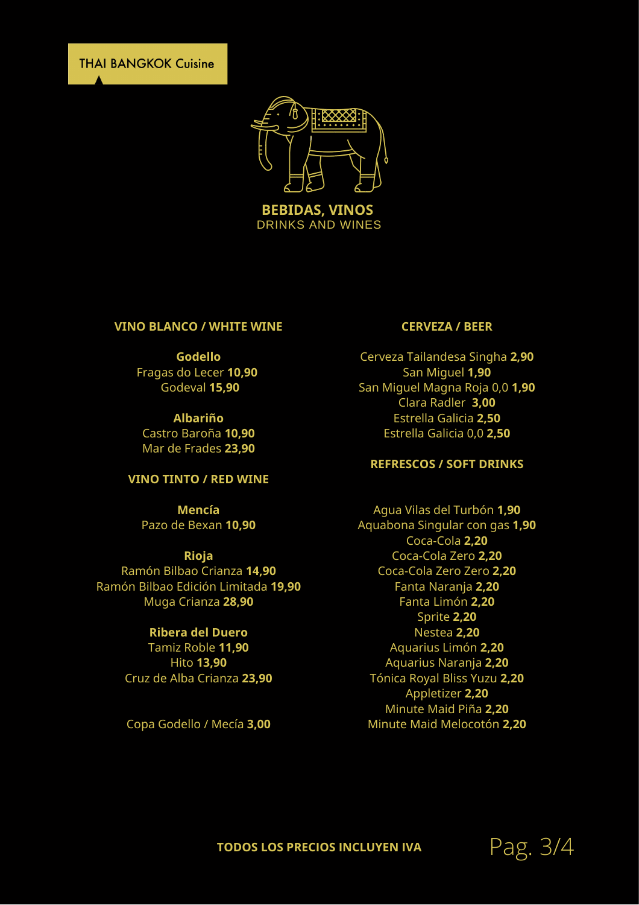**THAI BANGKOK Cuisine** 



DRINKS AND WINES

#### **VINO BLANCO / WHITE WINE**

### **Godello**

Fragas do Lecer **10,90** Godeval **15,90**

**Albariño** Castro Baroña **10,90** Mar de Frades **23,90**

### **VINO TINTO / RED WINE**

**Mencía** Pazo de Bexan **10,90**

#### **Rioja**

Ramón Bilbao Crianza **14,90** Ramón Bilbao Edición Limitada **19,90** Muga Crianza **28,90**

### **Ribera del Duero**

Tamiz Roble **11,90** Hito **13,90** Cruz de Alba Crianza **23,90**

Copa Godello / Mecía **3,00**

#### **CERVEZA / BEER**

Cerveza Tailandesa Singha **2,90** San Miguel **1,90** San Miguel Magna Roja 0,0 **1,90** Clara Radler **3,00** Estrella Galicia **2,50** Estrella Galicia 0,0 **2,50**

## **REFRESCOS / SOFT DRINKS**

Agua Vilas del Turbón **1,90** Aquabona Singular con gas **1,90** Coca-Cola **2,20** Coca-Cola Zero **2,20** Coca-Cola Zero Zero **2,20** Fanta Naranja **2,20** Fanta Limón **2,20** Sprite **2,20** Nestea **2,20** Aquarius Limón **2,20** Aquarius Naranja **2,20** Tónica Royal Bliss Yuzu **2,20** Appletizer **2,20** Minute Maid Piña **2,20** Minute Maid Melocotón **2,20**